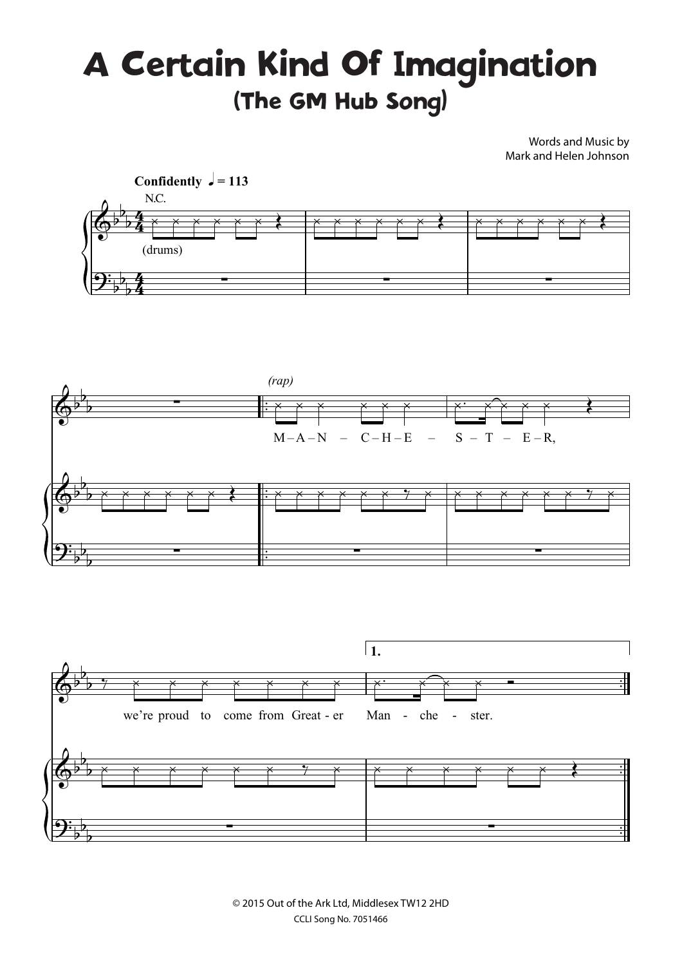## A Certain Kind Of Imagination (The GM Hub Song)

Words and Music by Mark and Helen Johnson



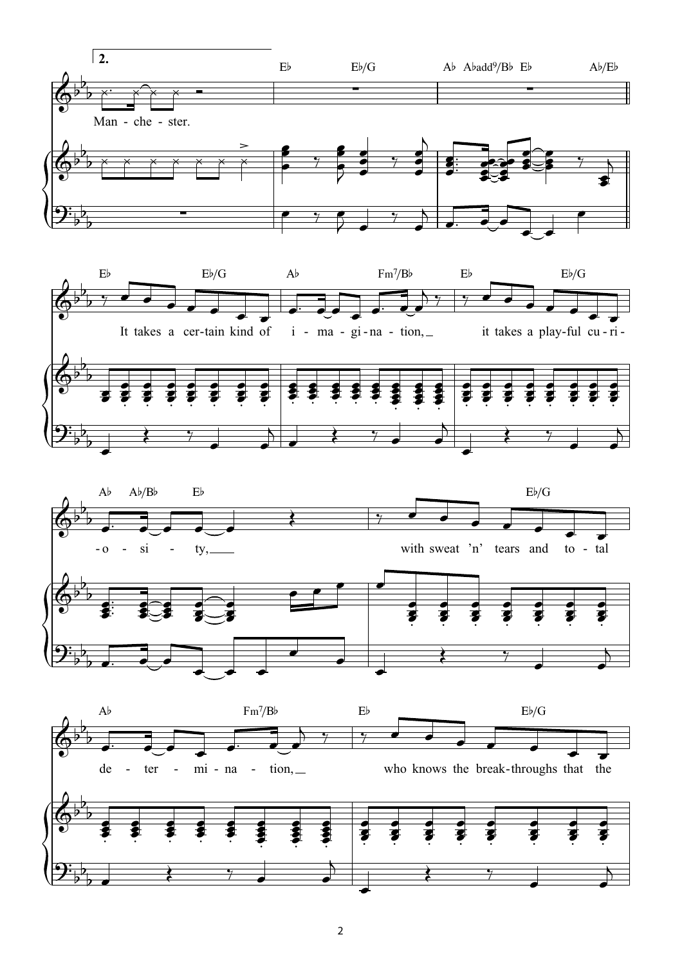

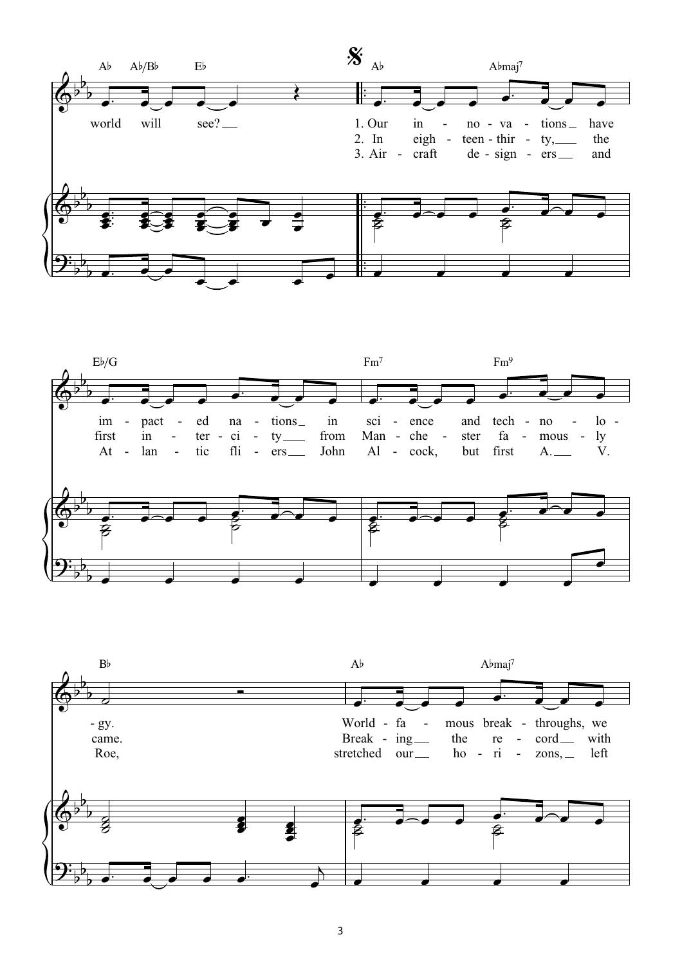



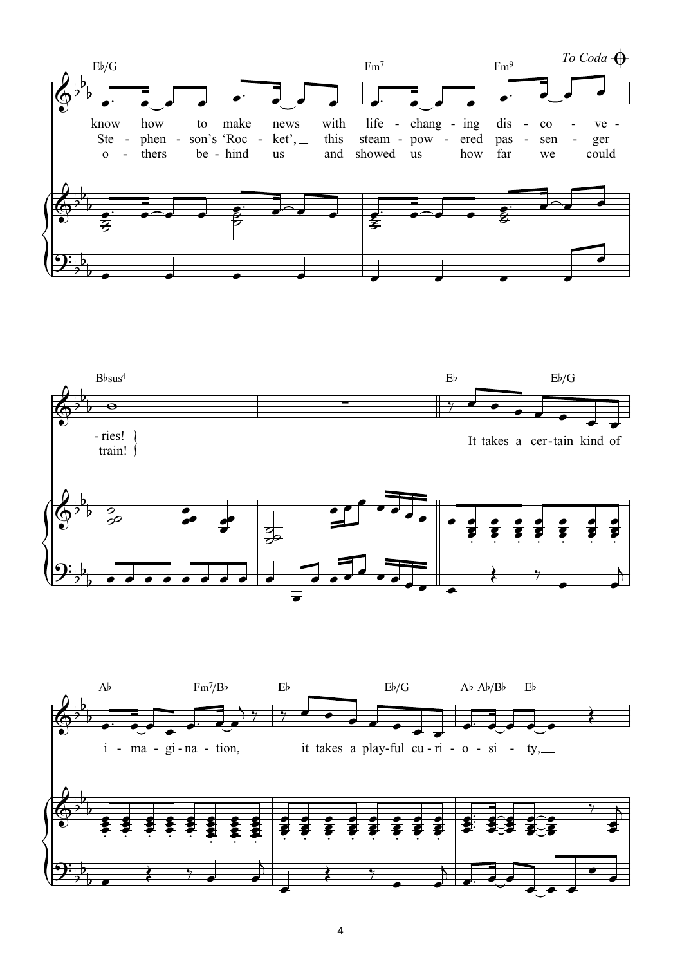



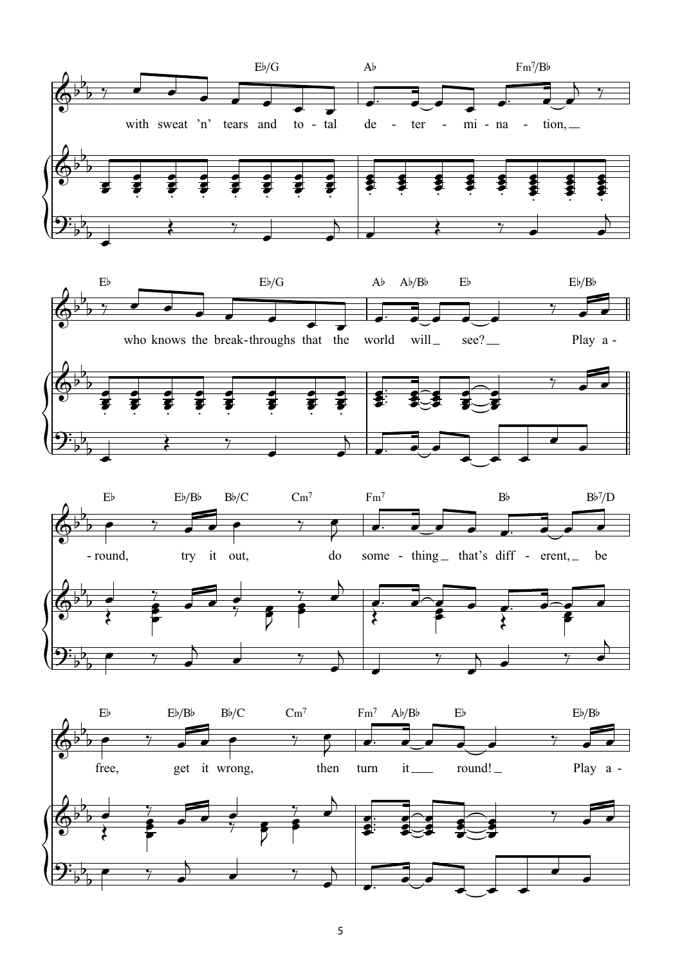





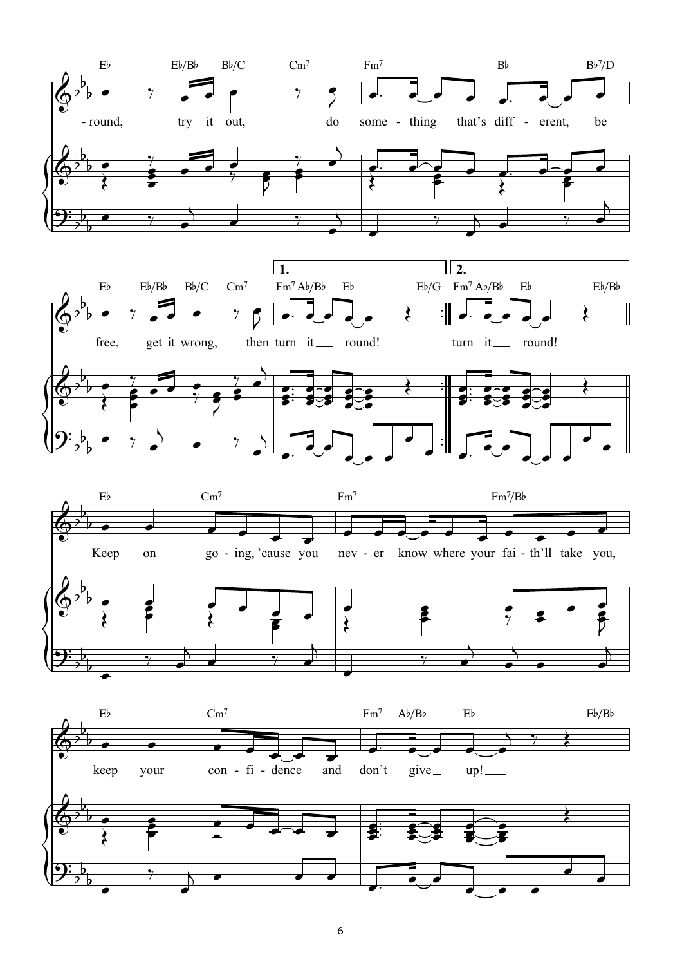





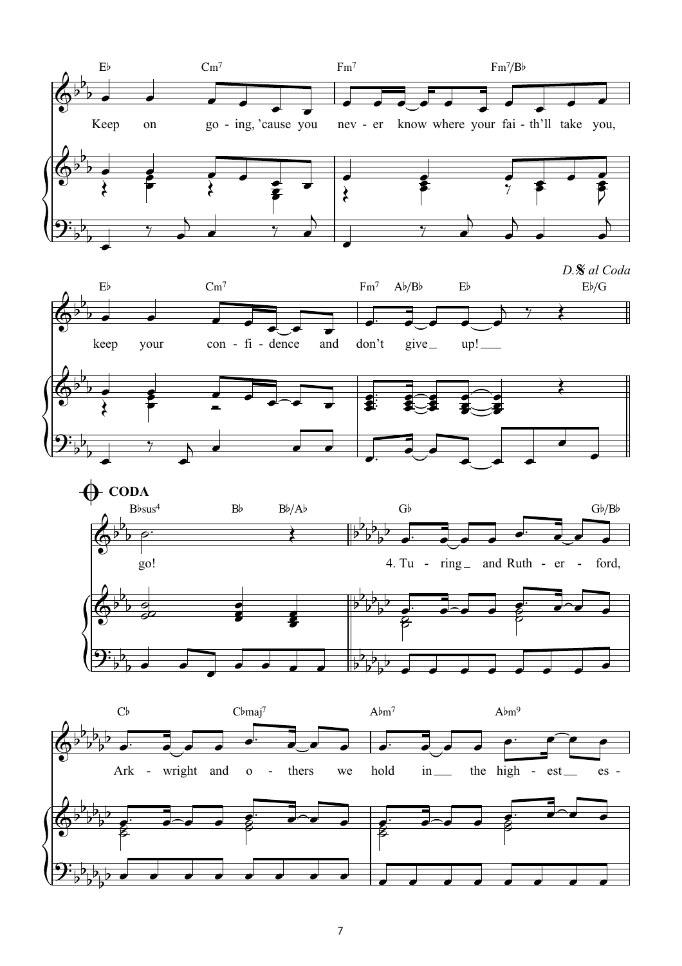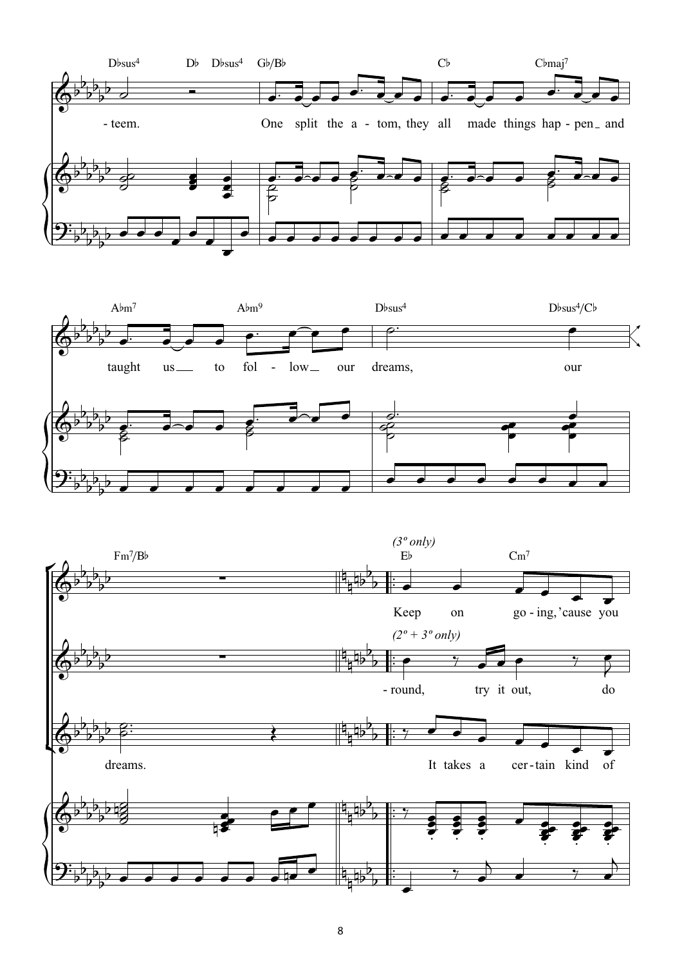



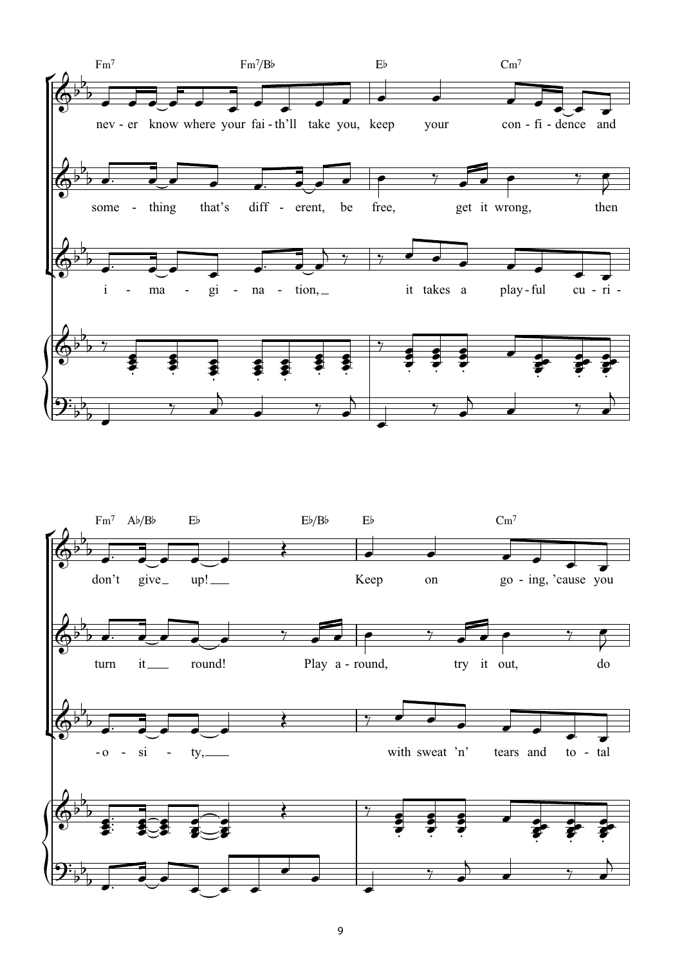

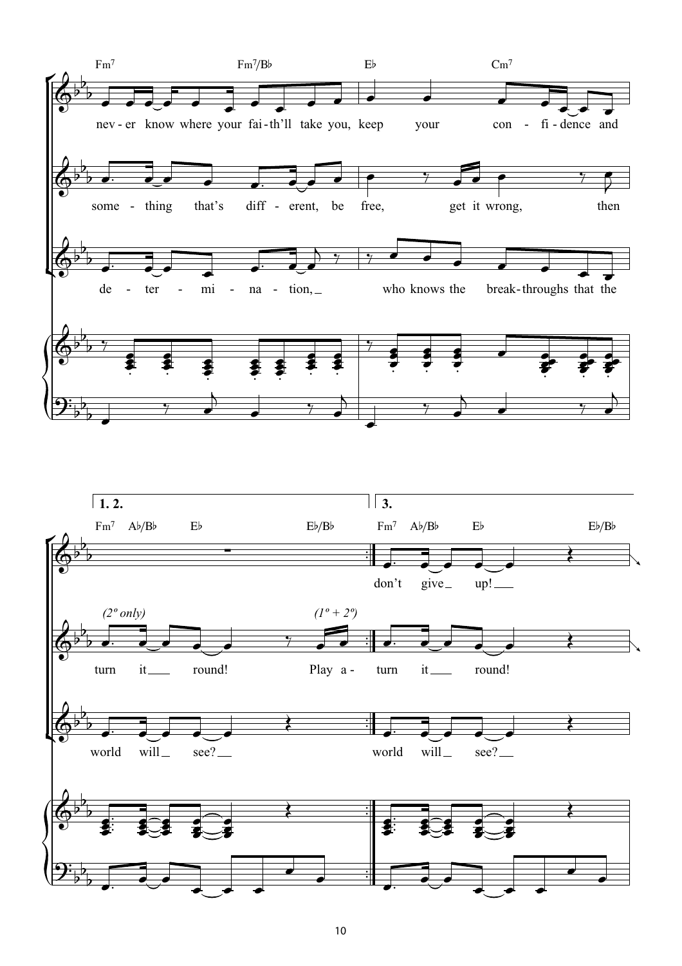